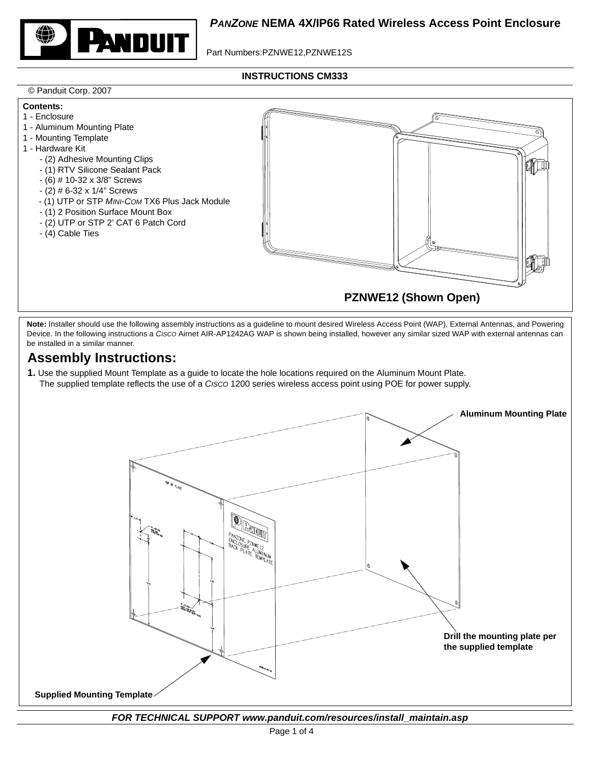

Part Numbers:PZNWE12,PZNWE12S

**INSTRUCTIONS CM333**

## © Panduit Corp. 2007



Note: Installer should use the following assembly instructions as a guideline to mount desired Wireless Access Point (WAP), External Antennas, and Powering Device. In the following instructions a *CISCO* Airnet AIR-AP1242AG WAP is shown being installed, however any similar sized WAP with external antennas can be installed in a similar manner.

# **Assembly Instructions:**

**1.** Use the supplied Mount Template as a guide to locate the hole locations required on the Aluminum Mount Plate. The supplied template reflects the use of a *CISCO* 1200 series wireless access point using POE for power supply.



*FOR TECHNICAL SUPPORT www.panduit.com/resources/install\_maintain.asp*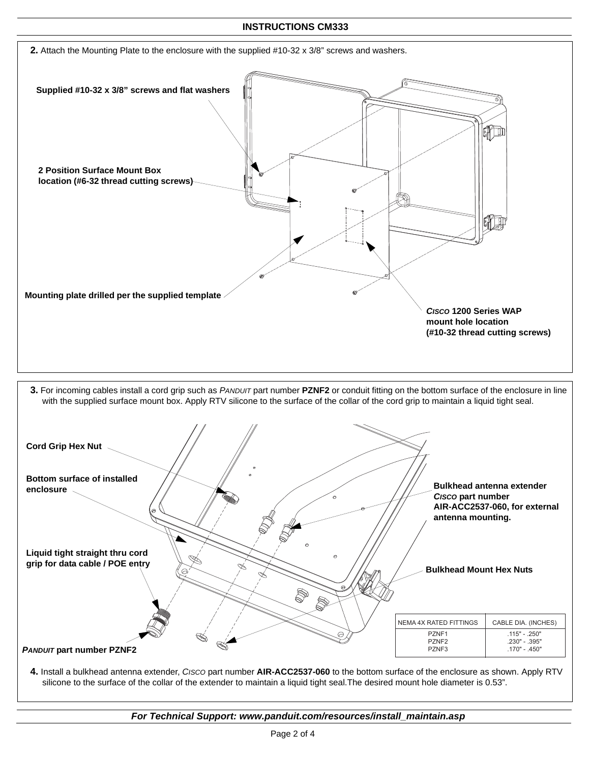### **INSTRUCTIONS CM333**



*For Technical Support: www.panduit.com/resources/install\_maintain.asp*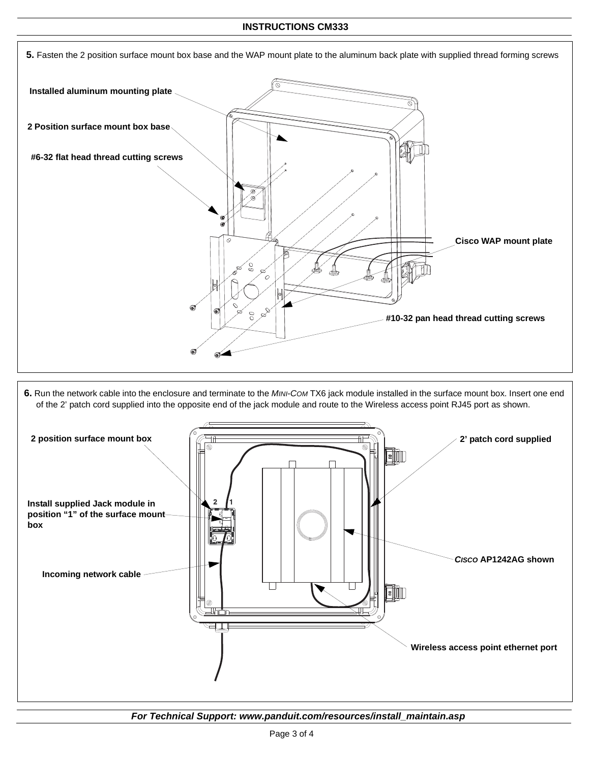#### **INSTRUCTIONS CM333**



**6.** Run the network cable into the enclosure and terminate to the *MINI-COM* TX6 jack module installed in the surface mount box. Insert one end of the 2' patch cord supplied into the opposite end of the jack module and route to the Wireless access point RJ45 port as shown.



*For Technical Support: www.panduit.com/resources/install\_maintain.asp*